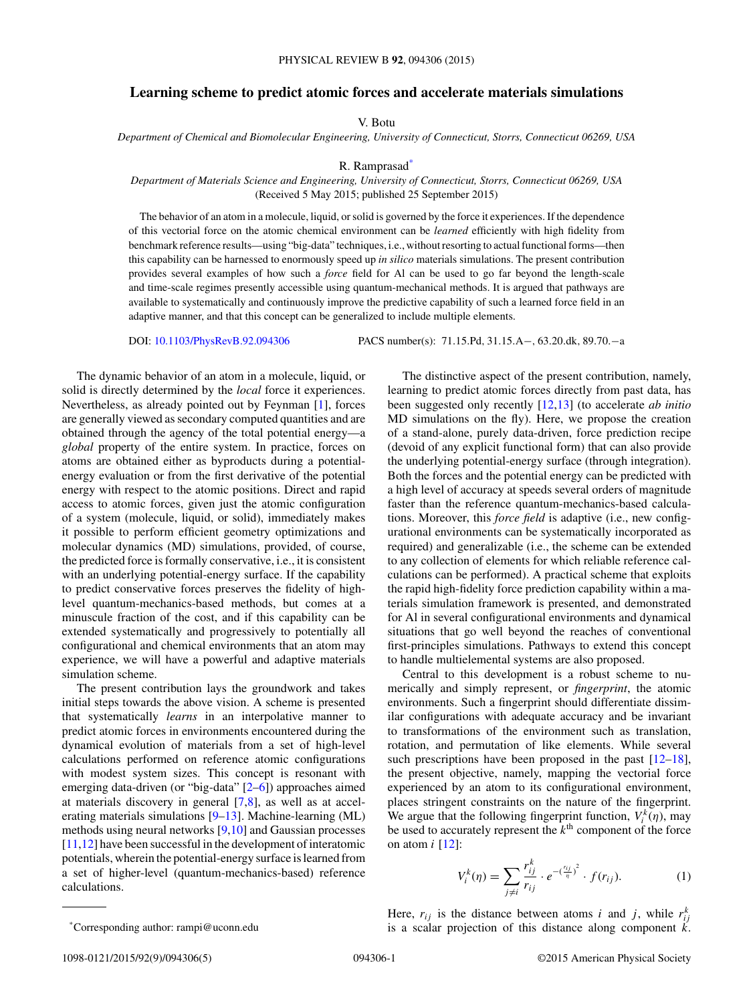## <span id="page-0-0"></span>**Learning scheme to predict atomic forces and accelerate materials simulations**

V. Botu

*Department of Chemical and Biomolecular Engineering, University of Connecticut, Storrs, Connecticut 06269, USA*

R. Ramprasad\*

*Department of Materials Science and Engineering, University of Connecticut, Storrs, Connecticut 06269, USA* (Received 5 May 2015; published 25 September 2015)

The behavior of an atom in a molecule, liquid, or solid is governed by the force it experiences. If the dependence of this vectorial force on the atomic chemical environment can be *learned* efficiently with high fidelity from benchmark reference results—using "big-data" techniques, i.e., without resorting to actual functional forms—then this capability can be harnessed to enormously speed up *in silico* materials simulations. The present contribution provides several examples of how such a *force* field for Al can be used to go far beyond the length-scale and time-scale regimes presently accessible using quantum-mechanical methods. It is argued that pathways are available to systematically and continuously improve the predictive capability of such a learned force field in an adaptive manner, and that this concept can be generalized to include multiple elements.

DOI: [10.1103/PhysRevB.92.094306](http://dx.doi.org/10.1103/PhysRevB.92.094306) PACS number(s): 71*.*15*.*Pd*,* 31*.*15*.*A−*,* 63*.*20*.*dk*,* 89*.*70*.*−a

The dynamic behavior of an atom in a molecule, liquid, or solid is directly determined by the *local* force it experiences. Nevertheless, as already pointed out by Feynman [\[1\]](#page-4-0), forces are generally viewed as secondary computed quantities and are obtained through the agency of the total potential energy—a *global* property of the entire system. In practice, forces on atoms are obtained either as byproducts during a potentialenergy evaluation or from the first derivative of the potential energy with respect to the atomic positions. Direct and rapid access to atomic forces, given just the atomic configuration of a system (molecule, liquid, or solid), immediately makes it possible to perform efficient geometry optimizations and molecular dynamics (MD) simulations, provided, of course, the predicted force is formally conservative, i.e., it is consistent with an underlying potential-energy surface. If the capability to predict conservative forces preserves the fidelity of highlevel quantum-mechanics-based methods, but comes at a minuscule fraction of the cost, and if this capability can be extended systematically and progressively to potentially all configurational and chemical environments that an atom may experience, we will have a powerful and adaptive materials simulation scheme.

The present contribution lays the groundwork and takes initial steps towards the above vision. A scheme is presented that systematically *learns* in an interpolative manner to predict atomic forces in environments encountered during the dynamical evolution of materials from a set of high-level calculations performed on reference atomic configurations with modest system sizes. This concept is resonant with emerging data-driven (or "big-data" [\[2–6\]](#page-4-0)) approaches aimed at materials discovery in general [\[7,8\]](#page-4-0), as well as at accelerating materials simulations [\[9–13\]](#page-4-0). Machine-learning (ML) methods using neural networks [\[9,10\]](#page-4-0) and Gaussian processes [\[11,12\]](#page-4-0) have been successful in the development of interatomic potentials, wherein the potential-energy surface is learned from a set of higher-level (quantum-mechanics-based) reference calculations.

The distinctive aspect of the present contribution, namely, learning to predict atomic forces directly from past data, has been suggested only recently [\[12,13\]](#page-4-0) (to accelerate *ab initio* MD simulations on the fly). Here, we propose the creation of a stand-alone, purely data-driven, force prediction recipe (devoid of any explicit functional form) that can also provide the underlying potential-energy surface (through integration). Both the forces and the potential energy can be predicted with a high level of accuracy at speeds several orders of magnitude faster than the reference quantum-mechanics-based calculations. Moreover, this *force field* is adaptive (i.e., new configurational environments can be systematically incorporated as required) and generalizable (i.e., the scheme can be extended to any collection of elements for which reliable reference calculations can be performed). A practical scheme that exploits the rapid high-fidelity force prediction capability within a materials simulation framework is presented, and demonstrated for Al in several configurational environments and dynamical situations that go well beyond the reaches of conventional first-principles simulations. Pathways to extend this concept to handle multielemental systems are also proposed.

Central to this development is a robust scheme to numerically and simply represent, or *fingerprint*, the atomic environments. Such a fingerprint should differentiate dissimilar configurations with adequate accuracy and be invariant to transformations of the environment such as translation, rotation, and permutation of like elements. While several such prescriptions have been proposed in the past  $[12-18]$ , the present objective, namely, mapping the vectorial force experienced by an atom to its configurational environment, places stringent constraints on the nature of the fingerprint. We argue that the following fingerprint function,  $V_i^k(\eta)$ , may be used to accurately represent the  $k<sup>th</sup>$  component of the force on atom  $i$  [\[12\]](#page-4-0):

$$
V_i^k(\eta) = \sum_{j \neq i} \frac{r_{ij}^k}{r_{ij}} \cdot e^{-(\frac{r_{ij}}{\eta})^2} \cdot f(r_{ij}).
$$
 (1)

Here,  $r_{ij}$  is the distance between atoms *i* and *j*, while  $r_{ij}^k$ is a scalar projection of this distance along component *k*.

\*Corresponding author: rampi@uconn.edu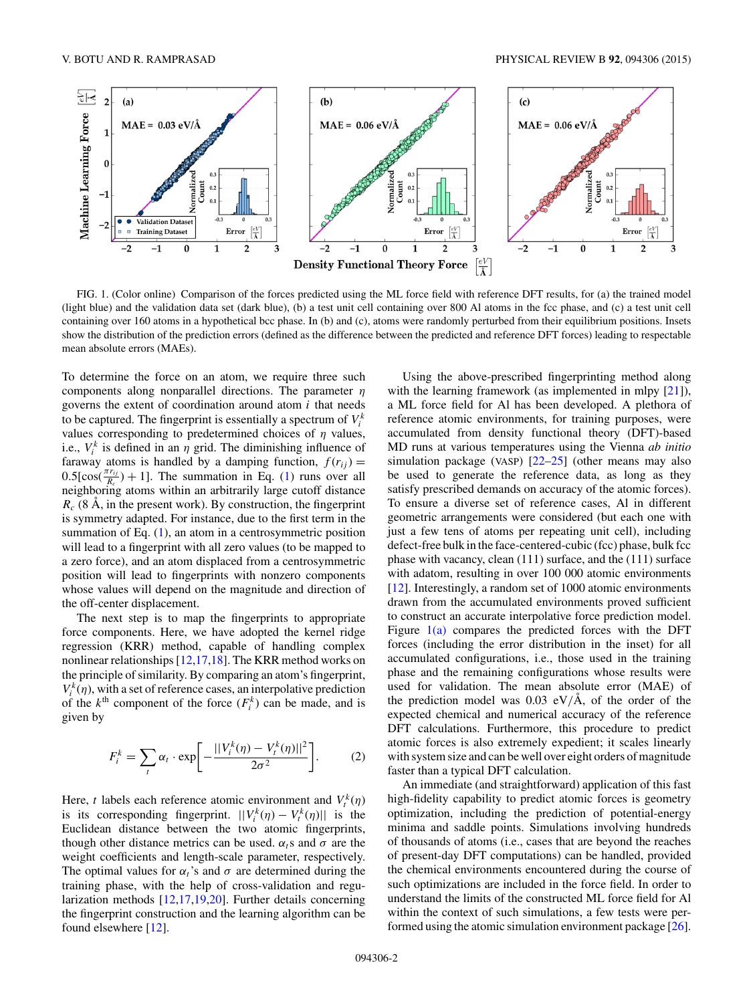<span id="page-1-0"></span>

FIG. 1. (Color online) Comparison of the forces predicted using the ML force field with reference DFT results, for (a) the trained model (light blue) and the validation data set (dark blue), (b) a test unit cell containing over 800 Al atoms in the fcc phase, and (c) a test unit cell containing over 160 atoms in a hypothetical bcc phase. In (b) and (c), atoms were randomly perturbed from their equilibrium positions. Insets show the distribution of the prediction errors (defined as the difference between the predicted and reference DFT forces) leading to respectable mean absolute errors (MAEs).

To determine the force on an atom, we require three such components along nonparallel directions. The parameter *η* governs the extent of coordination around atom *i* that needs to be captured. The fingerprint is essentially a spectrum of  $V_i^k$ values corresponding to predetermined choices of *η* values, i.e.,  $V_i^k$  is defined in an  $\eta$  grid. The diminishing influence of faraway atoms is handled by a damping function,  $f(r_{ij}) =$  $0.5[\cos(\frac{\pi r_{ij}}{R_c}) + 1]$ . The summation in Eq. [\(1\)](#page-0-0) runs over all neighboring atoms within an arbitrarily large cutoff distance  $R_c$  (8 Å, in the present work). By construction, the fingerprint is symmetry adapted. For instance, due to the first term in the summation of Eq.  $(1)$ , an atom in a centrosymmetric position will lead to a fingerprint with all zero values (to be mapped to a zero force), and an atom displaced from a centrosymmetric position will lead to fingerprints with nonzero components whose values will depend on the magnitude and direction of the off-center displacement.

The next step is to map the fingerprints to appropriate force components. Here, we have adopted the kernel ridge regression (KRR) method, capable of handling complex nonlinear relationships [\[12,17,18\]](#page-4-0). The KRR method works on the principle of similarity. By comparing an atom's fingerprint,  $V_i^k(\eta)$ , with a set of reference cases, an interpolative prediction of the  $k^{\text{th}}$  component of the force  $(F_i^k)$  can be made, and is given by

$$
F_i^k = \sum_t \alpha_t \cdot \exp\bigg[-\frac{||V_i^k(\eta) - V_i^k(\eta)||^2}{2\sigma^2}\bigg].\tag{2}
$$

Here, *t* labels each reference atomic environment and  $V_t^k(\eta)$ is its corresponding fingerprint.  $||V_i^k(\eta) - V_i^k(\eta)||$  is the Euclidean distance between the two atomic fingerprints, though other distance metrics can be used.  $\alpha_t$ s and  $\sigma$  are the weight coefficients and length-scale parameter, respectively. The optimal values for  $\alpha_t$ 's and  $\sigma$  are determined during the training phase, with the help of cross-validation and regularization methods [\[12,17,19,20\]](#page-4-0). Further details concerning the fingerprint construction and the learning algorithm can be found elsewhere [\[12\]](#page-4-0).

Using the above-prescribed fingerprinting method along with the learning framework (as implemented in mlpy [\[21\]](#page-4-0)), a ML force field for Al has been developed. A plethora of reference atomic environments, for training purposes, were accumulated from density functional theory (DFT)-based MD runs at various temperatures using the Vienna *ab initio* simulation package (VASP) [\[22–25\]](#page-4-0) (other means may also be used to generate the reference data, as long as they satisfy prescribed demands on accuracy of the atomic forces). To ensure a diverse set of reference cases, Al in different geometric arrangements were considered (but each one with just a few tens of atoms per repeating unit cell), including defect-free bulk in the face-centered-cubic (fcc) phase, bulk fcc phase with vacancy, clean (111) surface, and the (111) surface with adatom, resulting in over 100 000 atomic environments [\[12\]](#page-4-0). Interestingly, a random set of 1000 atomic environments drawn from the accumulated environments proved sufficient to construct an accurate interpolative force prediction model. Figure  $1(a)$  compares the predicted forces with the DFT forces (including the error distribution in the inset) for all accumulated configurations, i.e., those used in the training phase and the remaining configurations whose results were used for validation. The mean absolute error (MAE) of the prediction model was  $0.03 \text{ eV/A}$ , of the order of the expected chemical and numerical accuracy of the reference DFT calculations. Furthermore, this procedure to predict atomic forces is also extremely expedient; it scales linearly with system size and can be well over eight orders of magnitude faster than a typical DFT calculation.

An immediate (and straightforward) application of this fast high-fidelity capability to predict atomic forces is geometry optimization, including the prediction of potential-energy minima and saddle points. Simulations involving hundreds of thousands of atoms (i.e., cases that are beyond the reaches of present-day DFT computations) can be handled, provided the chemical environments encountered during the course of such optimizations are included in the force field. In order to understand the limits of the constructed ML force field for Al within the context of such simulations, a few tests were performed using the atomic simulation environment package [\[26\]](#page-4-0).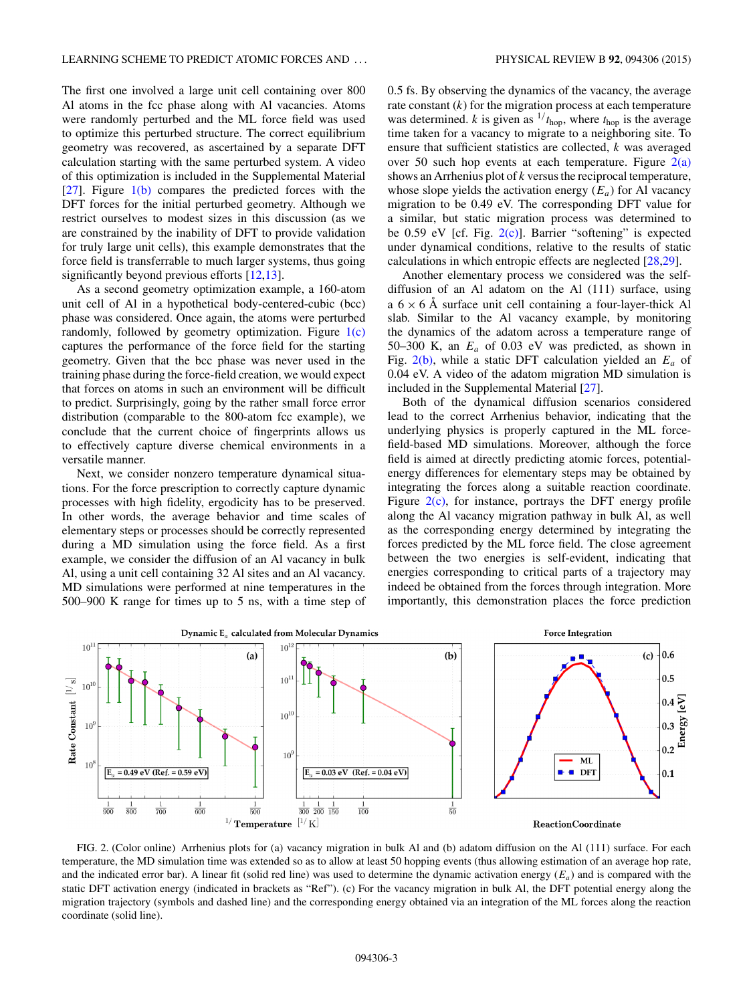The first one involved a large unit cell containing over 800 Al atoms in the fcc phase along with Al vacancies. Atoms were randomly perturbed and the ML force field was used to optimize this perturbed structure. The correct equilibrium geometry was recovered, as ascertained by a separate DFT calculation starting with the same perturbed system. A video of this optimization is included in the Supplemental Material  $[27]$ . Figure  $1(b)$  compares the predicted forces with the DFT forces for the initial perturbed geometry. Although we restrict ourselves to modest sizes in this discussion (as we are constrained by the inability of DFT to provide validation for truly large unit cells), this example demonstrates that the force field is transferrable to much larger systems, thus going significantly beyond previous efforts [\[12,13\]](#page-4-0).

As a second geometry optimization example, a 160-atom unit cell of Al in a hypothetical body-centered-cubic (bcc) phase was considered. Once again, the atoms were perturbed randomly, followed by geometry optimization. Figure  $1(c)$ captures the performance of the force field for the starting geometry. Given that the bcc phase was never used in the training phase during the force-field creation, we would expect that forces on atoms in such an environment will be difficult to predict. Surprisingly, going by the rather small force error distribution (comparable to the 800-atom fcc example), we conclude that the current choice of fingerprints allows us to effectively capture diverse chemical environments in a versatile manner.

Next, we consider nonzero temperature dynamical situations. For the force prescription to correctly capture dynamic processes with high fidelity, ergodicity has to be preserved. In other words, the average behavior and time scales of elementary steps or processes should be correctly represented during a MD simulation using the force field. As a first example, we consider the diffusion of an Al vacancy in bulk Al, using a unit cell containing 32 Al sites and an Al vacancy. MD simulations were performed at nine temperatures in the 500–900 K range for times up to 5 ns, with a time step of 0.5 fs. By observing the dynamics of the vacancy, the average rate constant  $(k)$  for the migration process at each temperature was determined. *k* is given as  $\frac{1}{t_{\text{hop}}}$ , where  $t_{\text{hop}}$  is the average time taken for a vacancy to migrate to a neighboring site. To ensure that sufficient statistics are collected, *k* was averaged over 50 such hop events at each temperature. Figure  $2(a)$ shows an Arrhenius plot of *k* versus the reciprocal temperature, whose slope yields the activation energy  $(E_a)$  for Al vacancy migration to be 0.49 eV. The corresponding DFT value for a similar, but static migration process was determined to be 0.59 eV [cf. Fig.  $2(c)$ ]. Barrier "softening" is expected under dynamical conditions, relative to the results of static calculations in which entropic effects are neglected [\[28,29\]](#page-4-0).

Another elementary process we considered was the selfdiffusion of an Al adatom on the Al (111) surface, using a  $6 \times 6$  Å surface unit cell containing a four-layer-thick Al slab. Similar to the Al vacancy example, by monitoring the dynamics of the adatom across a temperature range of 50–300 K, an  $E_a$  of 0.03 eV was predicted, as shown in Fig. 2(b), while a static DFT calculation yielded an *Ea* of 0.04 eV. A video of the adatom migration MD simulation is included in the Supplemental Material [\[27\]](#page-4-0).

Both of the dynamical diffusion scenarios considered lead to the correct Arrhenius behavior, indicating that the underlying physics is properly captured in the ML forcefield-based MD simulations. Moreover, although the force field is aimed at directly predicting atomic forces, potentialenergy differences for elementary steps may be obtained by integrating the forces along a suitable reaction coordinate. Figure  $2(c)$ , for instance, portrays the DFT energy profile along the Al vacancy migration pathway in bulk Al, as well as the corresponding energy determined by integrating the forces predicted by the ML force field. The close agreement between the two energies is self-evident, indicating that energies corresponding to critical parts of a trajectory may indeed be obtained from the forces through integration. More importantly, this demonstration places the force prediction



FIG. 2. (Color online) Arrhenius plots for (a) vacancy migration in bulk Al and (b) adatom diffusion on the Al (111) surface. For each temperature, the MD simulation time was extended so as to allow at least 50 hopping events (thus allowing estimation of an average hop rate, and the indicated error bar). A linear fit (solid red line) was used to determine the dynamic activation energy  $(E_a)$  and is compared with the static DFT activation energy (indicated in brackets as "Ref"). (c) For the vacancy migration in bulk Al, the DFT potential energy along the migration trajectory (symbols and dashed line) and the corresponding energy obtained via an integration of the ML forces along the reaction coordinate (solid line).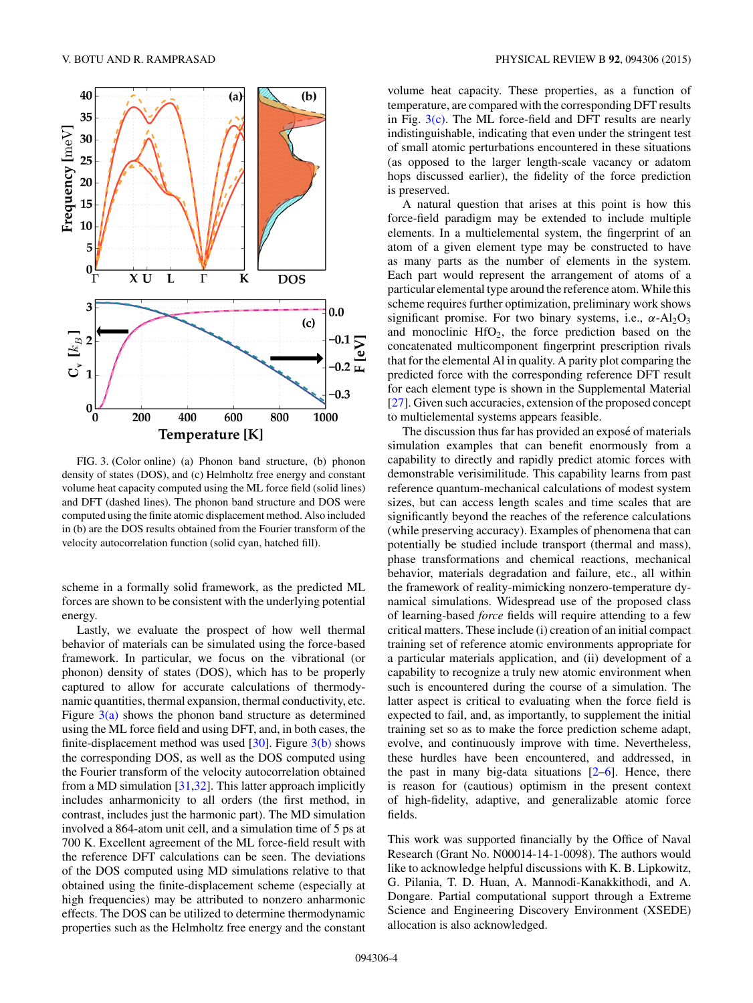

FIG. 3. (Color online) (a) Phonon band structure, (b) phonon density of states (DOS), and (c) Helmholtz free energy and constant volume heat capacity computed using the ML force field (solid lines) and DFT (dashed lines). The phonon band structure and DOS were computed using the finite atomic displacement method. Also included in (b) are the DOS results obtained from the Fourier transform of the velocity autocorrelation function (solid cyan, hatched fill).

scheme in a formally solid framework, as the predicted ML forces are shown to be consistent with the underlying potential energy.

Lastly, we evaluate the prospect of how well thermal behavior of materials can be simulated using the force-based framework. In particular, we focus on the vibrational (or phonon) density of states (DOS), which has to be properly captured to allow for accurate calculations of thermodynamic quantities, thermal expansion, thermal conductivity, etc. Figure  $3(a)$  shows the phonon band structure as determined using the ML force field and using DFT, and, in both cases, the finite-displacement method was used  $[30]$ . Figure  $3(b)$  shows the corresponding DOS, as well as the DOS computed using the Fourier transform of the velocity autocorrelation obtained from a MD simulation [\[31,32\]](#page-4-0). This latter approach implicitly includes anharmonicity to all orders (the first method, in contrast, includes just the harmonic part). The MD simulation involved a 864-atom unit cell, and a simulation time of 5 ps at 700 K. Excellent agreement of the ML force-field result with the reference DFT calculations can be seen. The deviations of the DOS computed using MD simulations relative to that obtained using the finite-displacement scheme (especially at high frequencies) may be attributed to nonzero anharmonic effects. The DOS can be utilized to determine thermodynamic properties such as the Helmholtz free energy and the constant volume heat capacity. These properties, as a function of temperature, are compared with the corresponding DFT results in Fig.  $3(c)$ . The ML force-field and DFT results are nearly indistinguishable, indicating that even under the stringent test of small atomic perturbations encountered in these situations (as opposed to the larger length-scale vacancy or adatom hops discussed earlier), the fidelity of the force prediction is preserved.

A natural question that arises at this point is how this force-field paradigm may be extended to include multiple elements. In a multielemental system, the fingerprint of an atom of a given element type may be constructed to have as many parts as the number of elements in the system. Each part would represent the arrangement of atoms of a particular elemental type around the reference atom. While this scheme requires further optimization, preliminary work shows significant promise. For two binary systems, i.e.,  $\alpha$ -Al<sub>2</sub>O<sub>3</sub> and monoclinic  $HfO<sub>2</sub>$ , the force prediction based on the concatenated multicomponent fingerprint prescription rivals that for the elemental Al in quality. A parity plot comparing the predicted force with the corresponding reference DFT result for each element type is shown in the Supplemental Material [\[27\]](#page-4-0). Given such accuracies, extension of the proposed concept to multielemental systems appears feasible.

The discussion thus far has provided an exposé of materials simulation examples that can benefit enormously from a capability to directly and rapidly predict atomic forces with demonstrable verisimilitude. This capability learns from past reference quantum-mechanical calculations of modest system sizes, but can access length scales and time scales that are significantly beyond the reaches of the reference calculations (while preserving accuracy). Examples of phenomena that can potentially be studied include transport (thermal and mass), phase transformations and chemical reactions, mechanical behavior, materials degradation and failure, etc., all within the framework of reality-mimicking nonzero-temperature dynamical simulations. Widespread use of the proposed class of learning-based *force* fields will require attending to a few critical matters. These include (i) creation of an initial compact training set of reference atomic environments appropriate for a particular materials application, and (ii) development of a capability to recognize a truly new atomic environment when such is encountered during the course of a simulation. The latter aspect is critical to evaluating when the force field is expected to fail, and, as importantly, to supplement the initial training set so as to make the force prediction scheme adapt, evolve, and continuously improve with time. Nevertheless, these hurdles have been encountered, and addressed, in the past in many big-data situations  $[2-6]$ . Hence, there is reason for (cautious) optimism in the present context of high-fidelity, adaptive, and generalizable atomic force fields.

This work was supported financially by the Office of Naval Research (Grant No. N00014-14-1-0098). The authors would like to acknowledge helpful discussions with K. B. Lipkowitz, G. Pilania, T. D. Huan, A. Mannodi-Kanakkithodi, and A. Dongare. Partial computational support through a Extreme Science and Engineering Discovery Environment (XSEDE) allocation is also acknowledged.